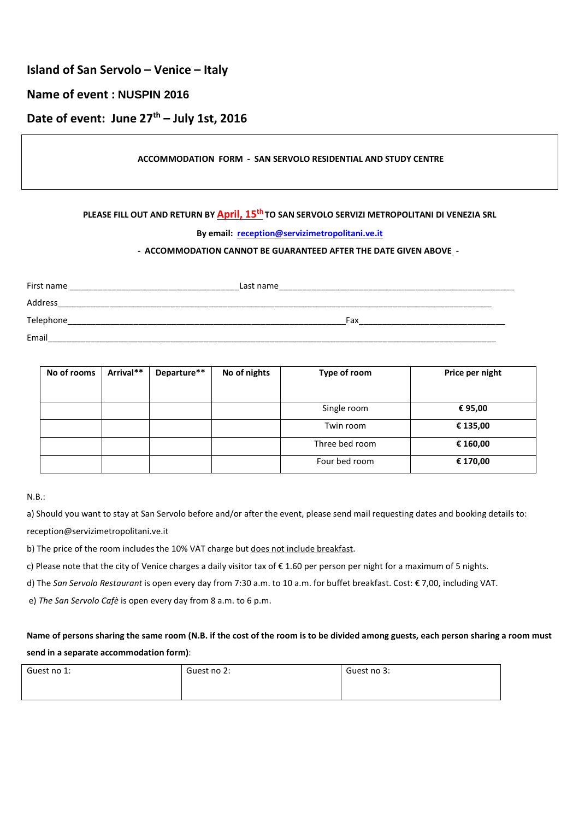## **Island of San Servolo – Venice – Italy**

## **Name of event : NUSPIN 2016**

# **Date of event: June 27th – July 1st, 2016**

### **ACCOMMODATION FORM - SAN SERVOLO RESIDENTIAL AND STUDY CENTRE**

#### **PLEASE FILL OUT AND RETURN BY April, 15th TO SAN SERVOLO SERVIZI METROPOLITANI DI VENEZIA SRL**

#### **By email: reception@servizimetropolitani.ve.it**

#### **- ACCOMMODATION CANNOT BE GUARANTEED AFTER THE DATE GIVEN ABOVE -**

| First name         | Last name  |
|--------------------|------------|
| Address            |            |
| Telephone          | Fax        |
| Email<br>_________ | __________ |

| No of rooms | Arrival** | Departure** | No of nights | Type of room   | Price per night |
|-------------|-----------|-------------|--------------|----------------|-----------------|
|             |           |             |              |                |                 |
|             |           |             |              | Single room    | € 95,00         |
|             |           |             |              | Twin room      | € 135,00        |
|             |           |             |              | Three bed room | € 160,00        |
|             |           |             |              | Four bed room  | € 170,00        |

#### N.B.:

a) Should you want to stay at San Servolo before and/or after the event, please send mail requesting dates and booking details to: reception@servizimetropolitani.ve.it

b) The price of the room includes the 10% VAT charge but does not include breakfast.

c) Please note that the city of Venice charges a daily visitor tax of € 1.60 per person per night for a maximum of 5 nights.

d) The *San Servolo Restaurant* is open every day from 7:30 a.m. to 10 a.m. for buffet breakfast. Cost: € 7,00, including VAT.

e) *The San Servolo Cafè* is open every day from 8 a.m. to 6 p.m.

## **Name of persons sharing the same room (N.B. if the cost of the room is to be divided among guests, each person sharing a room must send in a separate accommodation form)**:

| Guest no 1: | Guest no 2: | Guest no 3: |
|-------------|-------------|-------------|
|             |             |             |
|             |             |             |